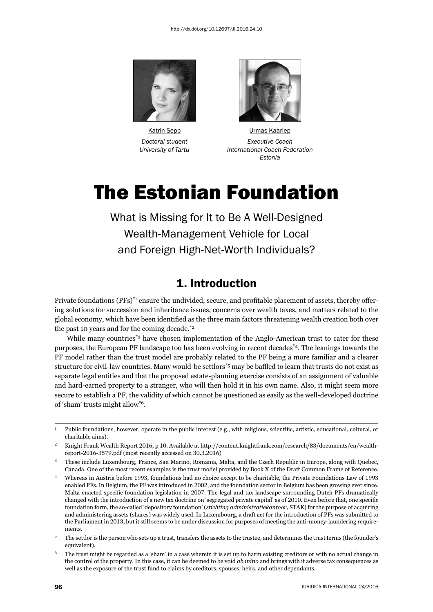



Katrin Sepp **Urmas Kaarlep**  *Doctoral student Executive Coach University of Tartu International Coach Federation Estonia*

# The Estonian Foundation

What is Missing for It to Be A Well-Designed Wealth-Management Vehicle for Local and Foreign High-Net-Worth Individuals?

#### 1. Introduction

Private foundations  $(PFs)^*$ <sup>1</sup> ensure the undivided, secure, and profitable placement of assets, thereby offering solutions for succession and inheritance issues, concerns over wealth taxes, and matters related to the global economy, which have been identified as the three main factors threatening wealth creation both over the past 10 years and for the coming decade.\*2

While many countries<sup>\*3</sup> have chosen implementation of the Anglo-American trust to cater for these purposes, the European PF landscape too has been evolving in recent decades\*4. The leanings towards the PF model rather than the trust model are probably related to the PF being a more familiar and a clearer structure for civil-law countries. Many would-be settlors<sup>\*5</sup> may be baffled to learn that trusts do not exist as separate legal entities and that the proposed estate-planning exercise consists of an assignment of valuable and hard-earned property to a stranger, who will then hold it in his own name. Also, it might seem more secure to establish a PF, the validity of which cannot be questioned as easily as the well-developed doctrine of 'sham' trusts might allow\*6.

<sup>&</sup>lt;sup>1</sup> Public foundations, however, operate in the public interest (e.g., with religious, scientific, artistic, educational, cultural, or charitable aims).

Knight Frank Wealth Report 2016, p 10. Available at http://content.knightfrank.com/research/83/documents/en/wealthreport-2016-3579.pdf (most recently accessed on 30.3.2016)

<sup>ɴ</sup> These include Luxembourg, France, San Marino, Romania, Malta, and the Czech Republic in Europe, along with Quebec, Canada. One of the most recent examples is the trust model provided by Book X of the Draft Common Frame of Reference.

Whereas in Austria before 1993, foundations had no choice except to be charitable, the Private Foundations Law of 1993 enabled PFs. In Belgium, the PF was introduced in 2002, and the foundation sector in Belgium has been growing ever since. Malta enacted specific foundation legislation in 2007. The legal and tax landscape surrounding Dutch PFs dramatically changed with the introduction of a new tax doctrine on 'segregated private capital' as of 2010. Even before that, one specific foundation form, the so-called 'depository foundation' (*stichting administratiekantoor*, STAK) for the purpose of acquiring and administering assets (shares) was widely used. In Luxembourg, a draft act for the introduction of PFs was submitted to the Parliament in 2013, but it still seems to be under discussion for purposes of meeting the anti-money-laundering requirements.

<sup>&</sup>lt;sup>5</sup> The settlor is the person who sets up a trust, transfers the assets to the trustee, and determines the trust terms (the founder's equivalent).

<sup>ɷ</sup> The trust might be regarded as a 'sham' in a case wherein it is set up to harm existing creditors or with no actual change in the control of the property. In this case, it can be deemed to be void *ab initio* and brings with it adverse tax consequences as well as the exposure of the trust fund to claims by creditors, spouses, heirs, and other dependants.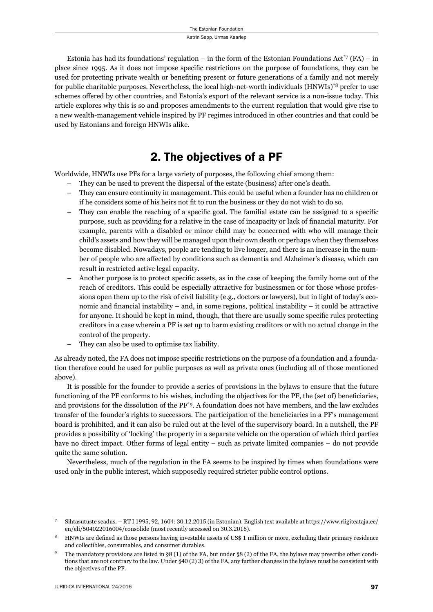Estonia has had its foundations' regulation – in the form of the Estonian Foundations Act<sup>\*7</sup> (FA) – in place since 1995. As it does not impose specific restrictions on the purpose of foundations, they can be used for protecting private wealth or benefiting present or future generations of a family and not merely for public charitable purposes. Nevertheless, the local high-net-worth individuals (HNWIs)\*8 prefer to use schemes offered by other countries, and Estonia's export of the relevant service is a non-issue today. This article explores why this is so and proposes amendments to the current regulation that would give rise to a new wealth-management vehicle inspired by PF regimes introduced in other countries and that could be used by Estonians and foreign HNWIs alike.

## 2. The objectives of a PF

Worldwide, HNWIs use PFs for a large variety of purposes, the following chief among them:

- They can be used to prevent the dispersal of the estate (business) after one's death.
- They can ensure continuity in management. This could be useful when a founder has no children or if he considers some of his heirs not fit to run the business or they do not wish to do so.
- They can enable the reaching of a specific goal. The familial estate can be assigned to a specific purpose, such as providing for a relative in the case of incapacity or lack of financial maturity. For example, parents with a disabled or minor child may be concerned with who will manage their child's assets and how they will be managed upon their own death or perhaps when they themselves become disabled. Nowadays, people are tending to live longer, and there is an increase in the number of people who are affected by conditions such as dementia and Alzheimer's disease, which can result in restricted active legal capacity.
- Another purpose is to protect specifi c assets, as in the case of keeping the family home out of the reach of creditors. This could be especially attractive for businessmen or for those whose professions open them up to the risk of civil liability (e.g., doctors or lawyers), but in light of today's economic and financial instability – and, in some regions, political instability – it could be attractive for anyone. It should be kept in mind, though, that there are usually some specific rules protecting creditors in a case wherein a PF is set up to harm existing creditors or with no actual change in the control of the property.
- They can also be used to optimise tax liability.

As already noted, the FA does not impose specific restrictions on the purpose of a foundation and a foundation therefore could be used for public purposes as well as private ones (including all of those mentioned above).

It is possible for the founder to provide a series of provisions in the bylaws to ensure that the future functioning of the PF conforms to his wishes, including the objectives for the PF, the (set of) beneficiaries, and provisions for the dissolution of the PF\*9. A foundation does not have members, and the law excludes transfer of the founder's rights to successors. The participation of the beneficiaries in a PF's management board is prohibited, and it can also be ruled out at the level of the supervisory board. In a nutshell, the PF provides a possibility of 'locking' the property in a separate vehicle on the operation of which third parties have no direct impact. Other forms of legal entity – such as private limited companies – do not provide quite the same solution.

Nevertheless, much of the regulation in the FA seems to be inspired by times when foundations were used only in the public interest, which supposedly required stricter public control options.

Sihtasutuste seadus. – RT I 1995, 92, 1604; 30.12.2015 (in Estonian). English text available at https://www.riigiteataja.ee/ en/eli/504022016004/consolide (most recently accessed on 30.3.2016).

HNWIs are defined as those persons having investable assets of US\$ 1 million or more, excluding their primary residence and collectibles, consumables, and consumer durables.

The mandatory provisions are listed in §8 (1) of the FA, but under §8 (2) of the FA, the bylaws may prescribe other conditions that are not contrary to the law. Under §40 (2) 3) of the FA, any further changes in the bylaws must be consistent with the objectives of the PF.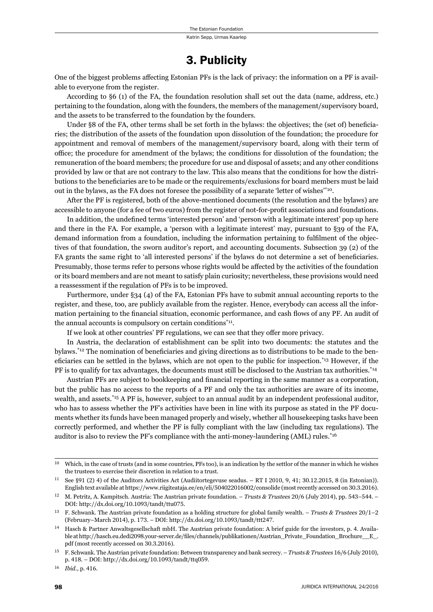### 3. Publicity

One of the biggest problems affecting Estonian PFs is the lack of privacy: the information on a PF is available to everyone from the register.

According to §6 (1) of the FA, the foundation resolution shall set out the data (name, address, etc.) pertaining to the foundation, along with the founders, the members of the management/supervisory board, and the assets to be transferred to the foundation by the founders.

Under §8 of the FA, other terms shall be set forth in the bylaws: the objectives; the (set of) beneficiaries; the distribution of the assets of the foundation upon dissolution of the foundation; the procedure for appointment and removal of members of the management/supervisory board, along with their term of office; the procedure for amendment of the bylaws; the conditions for dissolution of the foundation; the remuneration of the board members; the procedure for use and disposal of assets; and any other conditions provided by law or that are not contrary to the law. This also means that the conditions for how the distributions to the beneficiaries are to be made or the requirements/exclusions for board members must be laid out in the bylaws, as the FA does not foresee the possibility of a separate 'letter of wishes'\*10.

After the PF is registered, both of the above-mentioned documents (the resolution and the bylaws) are accessible to anyone (for a fee of two euros) from the register of not-for-profit associations and foundations.

In addition, the undefined terms 'interested person' and 'person with a legitimate interest' pop up here and there in the FA. For example, a 'person with a legitimate interest' may, pursuant to §39 of the FA, demand information from a foundation, including the information pertaining to fulfilment of the objectives of that foundation, the sworn auditor's report, and accounting documents. Subsection 39 (2) of the FA grants the same right to 'all interested persons' if the bylaws do not determine a set of beneficiaries. Presumably, those terms refer to persons whose rights would be affected by the activities of the foundation or its board members and are not meant to satisfy plain curiosity; nevertheless, these provisions would need a reassessment if the regulation of PFs is to be improved.

Furthermore, under §34 (4) of the FA, Estonian PFs have to submit annual accounting reports to the register, and these, too, are publicly available from the register. Hence, everybody can access all the information pertaining to the financial situation, economic performance, and cash flows of any PF. An audit of the annual accounts is compulsory on certain conditions $*$ <sup>11</sup>.

If we look at other countries' PF regulations, we can see that they offer more privacy.

In Austria, the declaration of establishment can be split into two documents: the statutes and the bylaws.<sup>\*12</sup> The nomination of beneficiaries and giving directions as to distributions to be made to the beneficiaries can be settled in the bylaws, which are not open to the public for inspection.<sup> $*13$ </sup> However, if the PF is to qualify for tax advantages, the documents must still be disclosed to the Austrian tax authorities.<sup>\*14</sup>

Austrian PFs are subject to bookkeeping and financial reporting in the same manner as a corporation, but the public has no access to the reports of a PF and only the tax authorities are aware of its income, wealth, and assets.\*15 A PF is, however, subject to an annual audit by an independent professional auditor, who has to assess whether the PF's activities have been in line with its purpose as stated in the PF documents whether its funds have been managed properly and wisely, whether all housekeeping tasks have been correctly performed, and whether the PF is fully compliant with the law (including tax regulations). The auditor is also to review the PF's compliance with the anti-money-laundering (AML) rules.\*16

Which, in the case of trusts (and in some countries, PFs too), is an indication by the settlor of the manner in which he wishes the trustees to exercise their discretion in relation to a trust.

See §91 (2) 4) of the Auditors Activities Act (Audiitortegevuse seadus. – RT I 2010, 9, 41; 30.12.2015, 8 (in Estonian)). English text available at https://www.riigiteataja.ee/en/eli/504022016002/consolide (most recently accessed on 30.3.2016).

<sup>&</sup>lt;sup>12</sup> M. Petritz, A. Kampitsch. Austria: The Austrian private foundation. – *Trusts & Trustees* 20/6 (July 2014), pp. 543–544. – DOI: http://dx.doi.org/10.1093/tandt/ttu075.

F. Schwank. The Austrian private foundation as a holding structure for global family wealth. – *Trusts & Trustees* 20/1–2 (February–March 2014), p. 173. – DOI: http://dx.doi.org/10.1093/tandt/ttt247.

Hasch & Partner Anwaltsgesellschaft mbH. The Austrian private foundation: A brief guide for the investors, p. 4. Available at http://hasch.eu.dedi2098.your-server.de/files/channels/publikationen/Austrian\_Private\_Foundation\_Brochure\_\_E\_. pdf (most recently accessed on 30.3.2016).

<sup>15</sup> F. Schwank. The Austrian private foundation: Between transparency and bank secrecy. – *Trusts & Trustees* 16/6 (July 2010), p. 418. – DOI: http://dx.doi.org/10.1093/tandt/ttq059.

<sup>16</sup> *Ibid.*, p. 416.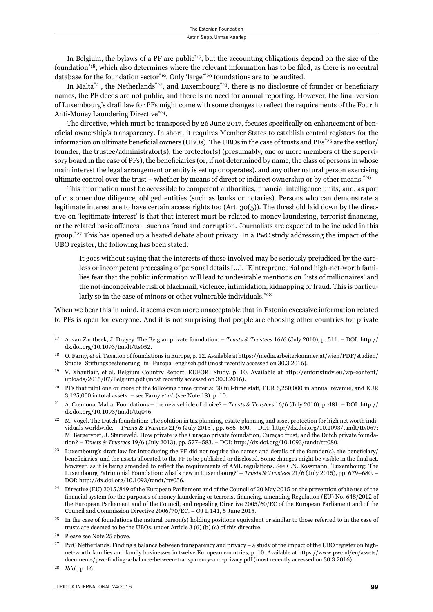In Belgium, the bylaws of a PF are public<sup>\*17</sup>, but the accounting obligations depend on the size of the foundation<sup>\*18</sup>, which also determines where the relevant information has to be filed, as there is no central database for the foundation sector<sup>\*19</sup>. Only 'large'<sup>\*20</sup> foundations are to be audited.

In Malta<sup>\*21</sup>, the Netherlands<sup>\*22</sup>, and Luxembourg<sup>\*23</sup>, there is no disclosure of founder or beneficiary names, the PF deeds are not public, and there is no need for annual reporting. However, the final version of Luxembourg's draft law for PFs might come with some changes to reflect the requirements of the Fourth Anti-Money Laundering Directive\*24.

The directive, which must be transposed by 26 June 2017, focuses specifically on enhancement of beneficial ownership's transparency. In short, it requires Member States to establish central registers for the information on ultimate beneficial owners (UBOs). The UBOs in the case of trusts and  $PFs^{*25}$  are the settlor/ founder, the trustee/administrator(s), the protector(s) (presumably, one or more members of the supervisory board in the case of PFs), the beneficiaries (or, if not determined by name, the class of persons in whose main interest the legal arrangement or entity is set up or operates), and any other natural person exercising ultimate control over the trust – whether by means of direct or indirect ownership or by other means.<sup>\*26</sup>

This information must be accessible to competent authorities; financial intelligence units; and, as part of customer due diligence, obliged entities (such as banks or notaries). Persons who can demonstrate a legitimate interest are to have certain access rights too (Art. 30(5)). The threshold laid down by the directive on 'legitimate interest' is that that interest must be related to money laundering, terrorist financing, or the related basic offences – such as fraud and corruption. Journalists are expected to be included in this group.<sup>\*27</sup> This has opened up a heated debate about privacy. In a PwC study addressing the impact of the UBO register, the following has been stated:

It goes without saying that the interests of those involved may be seriously prejudiced by the careless or incompetent processing of personal details […]. [E]ntrepreneurial and high-net-worth families fear that the public information will lead to undesirable mentions on 'lists of millionaires' and the not-inconceivable risk of blackmail, violence, intimidation, kidnapping or fraud. This is particularly so in the case of minors or other vulnerable individuals.<sup>\*28</sup>

When we bear this in mind, it seems even more unacceptable that in Estonia excessive information related to PFs is open for everyone. And it is not surprising that people are choosing other countries for private

<sup>&</sup>lt;sup>17</sup> A. van Zantbeek, J. Drayey. The Belgian private foundation. – *Trusts & Trustees* 16/6 (July 2010), p. 511. – DOI: http:// dx.doi.org/10.1093/tandt/tts052.

O. Farny, et al. Taxation of foundations in Europe, p. 12. Available at https://media.arbeiterkammer.at/wien/PDF/studien/ Studie\_Stiftungsbesteuerung\_in\_Europa\_englisch.pdf (most recently accessed on 30.3.2016).

V. Xhauflair, et al. Belgium Country Report, EUFORI Study, p. 10. Available at http://euforistudy.eu/wp-content/ uploads/2015/07/Belgium.pdf (most recently accessed on 30.3.2016).

<sup>&</sup>lt;sup>20</sup> PFs that fulfil one or more of the following three criteria: 50 full-time staff, EUR 6,250,000 in annual revenue, and EUR  $3,125,000$  in total assets. – see Farny *et al.* (see Note 18), p. 10.

<sup>&</sup>lt;sup>21</sup> A. Cremona. Malta: Foundations – the new vehicle of choice? – *Trusts & Trustees* 16/6 (July 2010), p. 481. – DOI: http:// dx.doi.org/10.1093/tandt/ttq046.

M. Vogel. The Dutch foundation: The solution in tax planning, estate planning and asset protection for high net worth individuals worldwide. – *Trusts & Trustees* 21/6 (July 2015), pp. 686–690. – DOI: http://dx.doi.org/10.1093/tandt/ttv067; M. Bergervoet, J. Starreveld. How private is the Curaçao private foundation, Curaçao trust, and the Dutch private foundation? – *Trusts & Trustees* 19/6 (July 2013), pp. 577–583. – DOI: http://dx.doi.org/10.1093/tandt/ttt080.

<sup>&</sup>lt;sup>23</sup> Luxembourg's draft law for introducing the PF did not require the names and details of the founder(s), the beneficiary/ beneficiaries, and the assets allocated to the PF to be published or disclosed. Some changes might be visible in the final act, however, as it is being amended to reflect the requirements of AML regulations. See C.N. Kossmann. 'Luxembourg: The Luxembourg Patrimonial Foundation: what's new in Luxembourg?' - *Trusts & Trustees* 21/6 (July 2015), pp. 679-680. -DOI: http://dx.doi.org/10.1093/tandt/ttv056.

<sup>&</sup>lt;sup>24</sup> Directive (EU) 2015/849 of the European Parliament and of the Council of 20 May 2015 on the prevention of the use of the financial system for the purposes of money laundering or terrorist financing, amending Regulation (EU) No. 648/2012 of the European Parliament and of the Council, and repealing Directive 2005/60/EC of the European Parliament and of the Council and Commission Directive 2006/70/EC. – OJ L 141, 5 June 2015.

<sup>&</sup>lt;sup>25</sup> In the case of foundations the natural person(s) holding positions equivalent or similar to those referred to in the case of trusts are deemed to be the UBOs, under Article  $3(6)(b)(c)$  of this directive.

<sup>&</sup>lt;sup>26</sup> Please see Note 25 above.

PwC Netherlands. Finding a balance between transparency and privacy – a study of the impact of the UBO register on highnet-worth families and family businesses in twelve European countries, p. 10. Available at https://www.pwc.nl/en/assets/ documents/pwc-finding-a-balance-between-transparency-and-privacy.pdf (most recently accessed on 30.3.2016).

<sup>&</sup>lt;sup>28</sup> *Ibid.*, p. 16.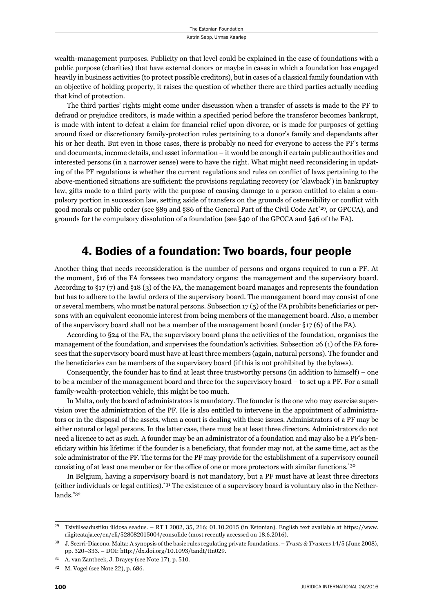wealth-management purposes. Publicity on that level could be explained in the case of foundations with a public purpose (charities) that have external donors or maybe in cases in which a foundation has engaged heavily in business activities (to protect possible creditors), but in cases of a classical family foundation with an objective of holding property, it raises the question of whether there are third parties actually needing that kind of protection.

The third parties' rights might come under discussion when a transfer of assets is made to the PF to defraud or prejudice creditors, is made within a specified period before the transferor becomes bankrupt, is made with intent to defeat a claim for financial relief upon divorce, or is made for purposes of getting around fixed or discretionary family-protection rules pertaining to a donor's family and dependants after his or her death. But even in those cases, there is probably no need for everyone to access the PF's terms and documents, income details, and asset information – it would be enough if certain public authorities and interested persons (in a narrower sense) were to have the right. What might need reconsidering in updating of the PF regulations is whether the current regulations and rules on conflict of laws pertaining to the above-mentioned situations are sufficient: the provisions regulating recovery (or 'clawback') in bankruptcy law, gifts made to a third party with the purpose of causing damage to a person entitled to claim a compulsory portion in succession law, setting aside of transfers on the grounds of ostensibility or conflict with good morals or public order (see §89 and §86 of the General Part of the Civil Code Act<sup>\*29</sup>, or GPCCA), and grounds for the compulsory dissolution of a foundation (see §40 of the GPCCA and §46 of the FA).

#### 4. Bodies of a foundation: Two boards, four people

Another thing that needs reconsideration is the number of persons and organs required to run a PF. At the moment, §16 of the FA foresees two mandatory organs: the management and the supervisory board. According to §17 (7) and §18 (3) of the FA, the management board manages and represents the foundation but has to adhere to the lawful orders of the supervisory board. The management board may consist of one or several members, who must be natural persons. Subsection  $17(5)$  of the FA prohibits beneficiaries or persons with an equivalent economic interest from being members of the management board. Also, a member of the supervisory board shall not be a member of the management board (under §17 (6) of the FA).

According to §24 of the FA, the supervisory board plans the activities of the foundation, organises the management of the foundation, and supervises the foundation's activities. Subsection 26 (1) of the FA foresees that the supervisory board must have at least three members (again, natural persons). The founder and the beneficiaries can be members of the supervisory board (if this is not prohibited by the bylaws).

Consequently, the founder has to find at least three trustworthy persons (in addition to himself) – one to be a member of the management board and three for the supervisory board – to set up a PF. For a small family-wealth-protection vehicle, this might be too much.

In Malta, only the board of administrators is mandatory. The founder is the one who may exercise supervision over the administration of the PF. He is also entitled to intervene in the appointment of administrators or in the disposal of the assets, when a court is dealing with these issues. Administrators of a PF may be either natural or legal persons. In the latter case, there must be at least three directors. Administrators do not need a licence to act as such. A founder may be an administrator of a foundation and may also be a PF's beneficiary within his lifetime: if the founder is a beneficiary, that founder may not, at the same time, act as the sole administrator of the PF. The terms for the PF may provide for the establishment of a supervisory council consisting of at least one member or for the office of one or more protectors with similar functions.<sup>\*30</sup>

In Belgium, having a supervisory board is not mandatory, but a PF must have at least three directors (either individuals or legal entities).<sup>\*31</sup> The existence of a supervisory board is voluntary also in the Netherlands.\*32

Tsiviilseadustiku üldosa seadus. – RT I 2002, 35, 216; 01.10.2015 (in Estonian). English text available at https://www. riigiteataja.ee/en/eli/528082015004/consolide (most recently accessed on 18.6.2016).

J. Scerri-Diacono. Malta: A synopsis of the basic rules regulating private foundations. – *Trusts & Trustees* 14/5 (June 2008), pp. 320-333. – DOI: http://dx.doi.org/10.1093/tandt/ttn029.

 $31$  A. van Zantbeek, J. Drayey (see Note 17), p.  $510$ .

 $32$  M. Vogel (see Note 22), p. 686.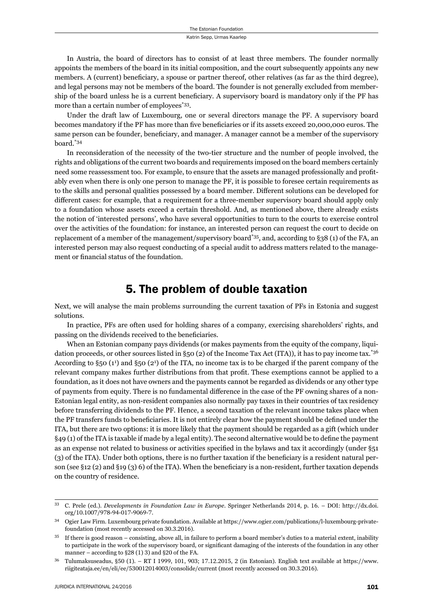In Austria, the board of directors has to consist of at least three members. The founder normally appoints the members of the board in its initial composition, and the court subsequently appoints any new members. A (current) beneficiary, a spouse or partner thereof, other relatives (as far as the third degree), and legal persons may not be members of the board. The founder is not generally excluded from membership of the board unless he is a current beneficiary. A supervisory board is mandatory only if the PF has more than a certain number of employees<sup>\*33</sup>.

Under the draft law of Luxembourg, one or several directors manage the PF. A supervisory board becomes mandatory if the PF has more than five beneficiaries or if its assets exceed 20,000,000 euros. The same person can be founder, beneficiary, and manager. A manager cannot be a member of the supervisory board.\*34

In reconsideration of the necessity of the two-tier structure and the number of people involved, the rights and obligations of the current two boards and requirements imposed on the board members certainly need some reassessment too. For example, to ensure that the assets are managed professionally and profitably even when there is only one person to manage the PF, it is possible to foresee certain requirements as to the skills and personal qualities possessed by a board member. Different solutions can be developed for different cases: for example, that a requirement for a three-member supervisory board should apply only to a foundation whose assets exceed a certain threshold. And, as mentioned above, there already exists the notion of 'interested persons', who have several opportunities to turn to the courts to exercise control over the activities of the foundation: for instance, an interested person can request the court to decide on replacement of a member of the management/supervisory board\*35, and, according to §38 (1) of the FA, an interested person may also request conducting of a special audit to address matters related to the management or financial status of the foundation.

### 5. The problem of double taxation

Next, we will analyse the main problems surrounding the current taxation of PFs in Estonia and suggest solutions.

In practice, PFs are often used for holding shares of a company, exercising shareholders' rights, and passing on the dividends received to the beneficiaries.

When an Estonian company pays dividends (or makes payments from the equity of the company, liquidation proceeds, or other sources listed in §50 (2) of the Income Tax Act (ITA)), it has to pay income tax.\*36 According to §50 (1<sup>1</sup>) and §50 (2<sup>1</sup>) of the ITA, no income tax is to be charged if the parent company of the relevant company makes further distributions from that profit. These exemptions cannot be applied to a foundation, as it does not have owners and the payments cannot be regarded as dividends or any other type of payments from equity. There is no fundamental difference in the case of the PF owning shares of a non-Estonian legal entity, as non-resident companies also normally pay taxes in their countries of tax residency before transferring dividends to the PF. Hence, a second taxation of the relevant income takes place when the PF transfers funds to beneficiaries. It is not entirely clear how the payment should be defined under the ITA, but there are two options: it is more likely that the payment should be regarded as a gift (which under  $§49(1)$  of the ITA is taxable if made by a legal entity). The second alternative would be to define the payment as an expense not related to business or activities specified in the bylaws and tax it accordingly (under §51 (3) of the ITA). Under both options, there is no further taxation if the beneficiary is a resident natural person (see §12 (2) and §19 (3) 6) of the ITA). When the beneficiary is a non-resident, further taxation depends on the country of residence.

<sup>&</sup>lt;sup>33</sup> C. Prele (ed.). *Developments in Foundation Law in Europe*. Springer Netherlands 2014, p. 16. – DOI: http://dx.doi. org/10.1007/978-94-017-9069-7.

<sup>34</sup> Ogier Law Firm. Luxembourg private foundation. Available at https://www.ogier.com/publications/l-luxembourg-privatefoundation (most recently accessed on 30.3.2016).

 $35$  If there is good reason – consisting, above all, in failure to perform a board member's duties to a material extent, inability to participate in the work of the supervisory board, or significant damaging of the interests of the foundation in any other manner – according to  $\S 28(1) 3$ ) and  $\S 20$  of the FA.

 $36$  Tulumaksuseadus, §50 (1). – RT I 1999, 101, 903; 17.12.2015, 2 (in Estonian). English text available at https://www. riigiteataja.ee/en/eli/ee/530012014003/consolide/current (most recently accessed on 30.3.2016).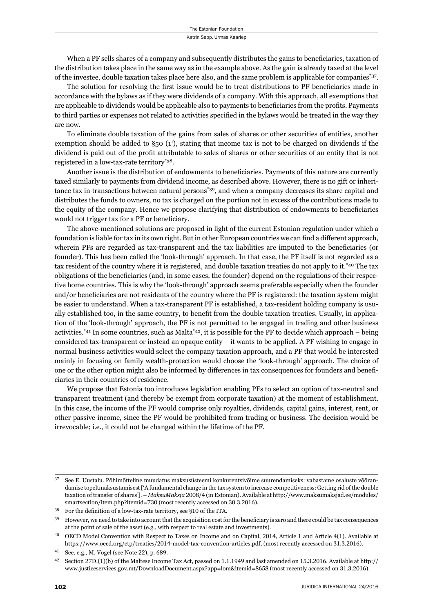When a PF sells shares of a company and subsequently distributes the gains to beneficiaries, taxation of the distribution takes place in the same way as in the example above. As the gain is already taxed at the level of the investee, double taxation takes place here also, and the same problem is applicable for companies\*37.

The solution for resolving the first issue would be to treat distributions to PF beneficiaries made in accordance with the bylaws as if they were dividends of a company. With this approach, all exemptions that are applicable to dividends would be applicable also to payments to beneficiaries from the profits. Payments to third parties or expenses not related to activities specified in the bylaws would be treated in the way they are now.

To eliminate double taxation of the gains from sales of shares or other securities of entities, another exemption should be added to §50 (1<sup>1</sup>), stating that income tax is not to be charged on dividends if the dividend is paid out of the profit attributable to sales of shares or other securities of an entity that is not registered in a low-tax-rate territory\*38.

Another issue is the distribution of endowments to beneficiaries. Payments of this nature are currently taxed similarly to payments from dividend income, as described above. However, there is no gift or inheritance tax in transactions between natural persons\*39, and when a company decreases its share capital and distributes the funds to owners, no tax is charged on the portion not in excess of the contributions made to the equity of the company. Hence we propose clarifying that distribution of endowments to beneficiaries would not trigger tax for a PF or beneficiary.

The above-mentioned solutions are proposed in light of the current Estonian regulation under which a foundation is liable for tax in its own right. But in other European countries we can find a different approach, wherein PFs are regarded as tax-transparent and the tax liabilities are imputed to the beneficiaries (or founder). This has been called the 'look-through' approach. In that case, the PF itself is not regarded as a tax resident of the country where it is registered, and double taxation treaties do not apply to it.\*40 The tax obligations of the beneficiaries (and, in some cases, the founder) depend on the regulations of their respective home countries. This is why the 'look-through' approach seems preferable especially when the founder and/or beneficiaries are not residents of the country where the PF is registered: the taxation system might be easier to understand. When a tax-transparent PF is established, a tax-resident holding company is usually established too, in the same country, to benefit from the double taxation treaties. Usually, in application of the 'look-through' approach, the PF is not permitted to be engaged in trading and other business activities.<sup>\*41</sup> In some countries, such as Malta<sup>\*42</sup>, it is possible for the PF to decide which approach – being considered tax-transparent or instead an opaque entity – it wants to be applied. A PF wishing to engage in normal business activities would select the company taxation approach, and a PF that would be interested mainly in focusing on family wealth-protection would choose the 'look-through' approach. The choice of one or the other option might also be informed by differences in tax consequences for founders and beneficiaries in their countries of residence.

We propose that Estonia too introduces legislation enabling PFs to select an option of tax-neutral and transparent treatment (and thereby be exempt from corporate taxation) at the moment of establishment. In this case, the income of the PF would comprise only royalties, dividends, capital gains, interest, rent, or other passive income, since the PF would be prohibited from trading or business. The decision would be irrevocable; i.e., it could not be changed within the lifetime of the PF.

ɴɸ See E. Uustalu. Põhimõtteline muudatus maksusüsteemi konkurentsivõime suurendamiseks: vabastame osaluste võõrandamise topeltmaksustamisest ['A fundamental change in the tax system to increase competitiveness: Getting rid of the double taxation of transfer of shares']. – *MaksuMaksja* 2008/4 (in Estonian). Available at http://www.maksumaksjad.ee/modules/ smartsection/item.php?itemid=730 (most recently accessed on 30.3.2016).

 $38$  For the definition of a low-tax-rate territory, see §10 of the ITA.

<sup>&</sup>lt;sup>39</sup> However, we need to take into account that the acquisition cost for the beneficiary is zero and there could be tax consequences at the point of sale of the asset (e.g., with respect to real estate and investments).

<sup>&</sup>lt;sup>40</sup> OECD Model Convention with Respect to Taxes on Income and on Capital, 2014, Article 1 and Article 4(1). Available at https://www.oecd.org/ctp/treaties/2014-model-tax-convention-articles.pdf, (most recently accessed on 31.3.2016).

<sup>&</sup>lt;sup>41</sup> See, e.g., M. Vogel (see Note 22), p. 689.

<sup>&</sup>lt;sup>42</sup> Section 27D.(1)(b) of the Maltese Income Tax Act, passed on 1.1.1949 and last amended on 15.3.2016. Available at http:// www.justiceservices.gov.mt/DownloadDocument.aspx?app=lom&itemid=8658 (most recently accessed on 31.3.2016).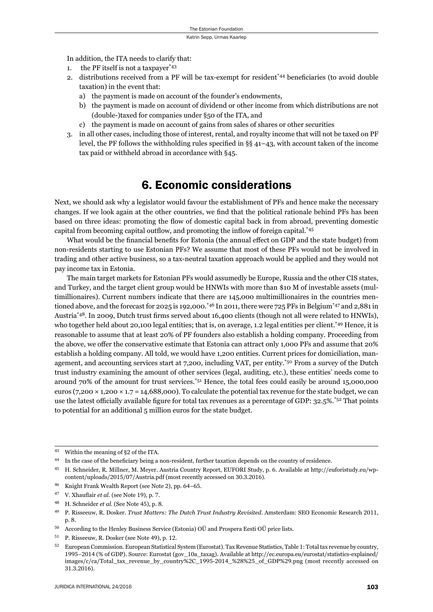In addition, the ITA needs to clarify that:

- 1. the PF itself is not a taxpayer\*43
- 2. distributions received from a PF will be tax-exempt for resident<sup> $*44$ </sup> beneficiaries (to avoid double taxation) in the event that:
	- a) the payment is made on account of the founder's endowments,
	- b) the payment is made on account of dividend or other income from which distributions are not (double-)taxed for companies under §50 of the ITA, and
	- c) the payment is made on account of gains from sales of shares or other securities
- 3. in all other cases, including those of interest, rental, and royalty income that will not be taxed on PF level, the PF follows the withholding rules specified in  $\S$ § 41–43, with account taken of the income tax paid or withheld abroad in accordance with §45.

#### 6. Economic considerations

Next, we should ask why a legislator would favour the establishment of PFs and hence make the necessary changes. If we look again at the other countries, we find that the political rationale behind PFs has been based on three ideas: promoting the flow of domestic capital back in from abroad, preventing domestic capital from becoming capital outflow, and promoting the inflow of foreign capital.<sup>\*45</sup>

What would be the financial benefits for Estonia (the annual effect on GDP and the state budget) from non-residents starting to use Estonian PFs? We assume that most of these PFs would not be involved in trading and other active business, so a tax-neutral taxation approach would be applied and they would not pay income tax in Estonia.

The main target markets for Estonian PFs would assumedly be Europe, Russia and the other CIS states, and Turkey, and the target client group would be HNWIs with more than \$10 M of investable assets (multimillionaires). Current numbers indicate that there are 145,000 multimillionaires in the countries mentioned above, and the forecast for 2025 is 192,000.<sup>\*46</sup> In 2011, there were 725 PFs in Belgium<sup>\*47</sup> and 2,881 in Austria<sup>\*48</sup>. In 2009, Dutch trust firms served about 16,400 clients (though not all were related to HNWIs), who together held about 20,100 legal entities; that is, on average, 1.2 legal entities per client.\*49 Hence, it is reasonable to assume that at least 20% of PF founders also establish a holding company. Proceeding from the above, we offer the conservative estimate that Estonia can attract only 1,000 PFs and assume that 20% establish a holding company. All told, we would have 1,200 entities. Current prices for domiciliation, management, and accounting services start at 7,200, including VAT, per entity.<sup>\*50</sup> From a survey of the Dutch trust industry examining the amount of other services (legal, auditing, etc.), these entities' needs come to around 70% of the amount for trust services.\*51 Hence, the total fees could easily be around 15,000,000 euros (7,200  $\times$  1,200  $\times$  1.7 = 14,688,000). To calculate the potential tax revenue for the state budget, we can use the latest officially available figure for total tax revenues as a percentage of GDP: 32.5%.<sup>\*52</sup> That points to potential for an additional 5 million euros for the state budget.

<sup>&</sup>lt;sup>43</sup> Within the meaning of §2 of the ITA.

<sup>&</sup>lt;sup>44</sup> In the case of the beneficiary being a non-resident, further taxation depends on the country of residence.

<sup>&</sup>lt;sup>45</sup> H. Schneider, R. Millner, M. Meyer. Austria Country Report, EUFORI Study, p. 6. Available at http://euforistudy.eu/wpcontent/uploads/2015/07/Austria.pdf (most recently accessed on 30.3.2016).

Knight Frank Wealth Report (see Note 2), pp. 64-65.

<sup>&</sup>lt;sup>47</sup> V. Xhauflair *et al.* (see Note 19), p. 7.

<sup>&</sup>lt;sup>48</sup> H. Schneider *et al.* (See Note 45), p. 8.

<sup>&</sup>lt;sup>49</sup> P. Risseeuw, R. Dosker. *Trust Matters: The Dutch Trust Industry Revisited*. Amsterdam: SEO Economic Research 2011, p. 8.

ɶɱ According to the Henley Business Service (Estonia) OÜ and Prospera Eesti OÜ price lists.

<sup>&</sup>lt;sup>51</sup> P. Risseeuw, R. Dosker (see Note 49), p. 12.

 $52$  European Commission. European Statistical System (Eurostat). Tax Revenue Statistics, Table 1: Total tax revenue by country, 1995-2014 (% of GDP). Source: Eurostat (gov\_10a\_taxag). Available at http://ec.europa.eu/eurostat/statistics-explained/ images/c/ca/Total\_tax\_revenue\_by\_country%2C\_1995-2014\_%28%25\_of\_GDP%29.png (most recently accessed on 31.3.2016).